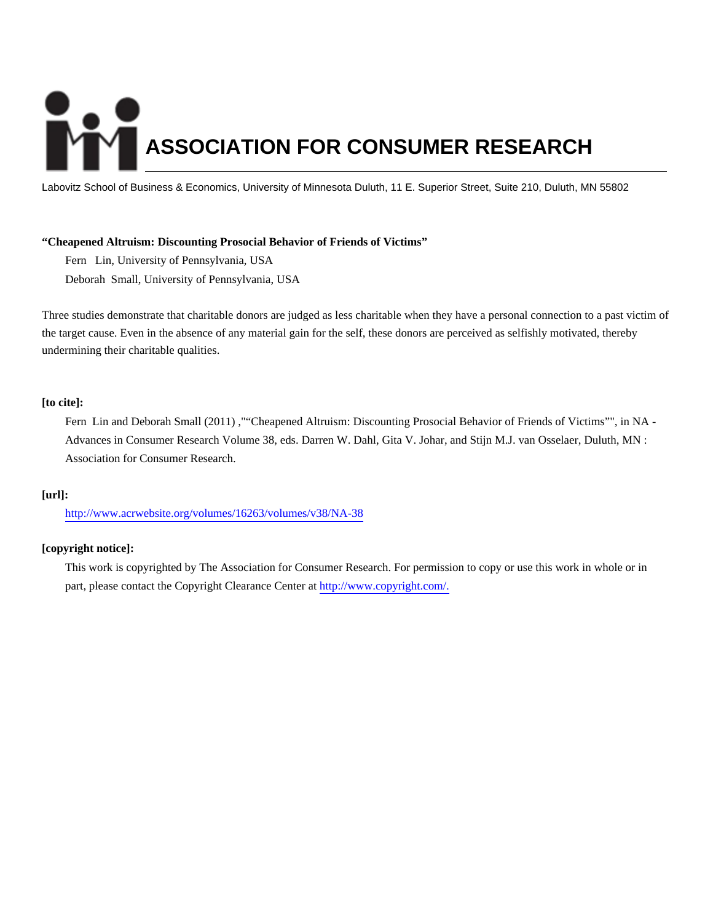# **ASSOCIATION FOR CONSUMER RESEARCH**

Labovitz School of Business & Economics, University of Minnesota Duluth, 11 E. Superior Street, Suite 210, Duluth, MN 55802

### **"Cheapened Altruism: Discounting Prosocial Behavior of Friends of Victims"**

Fern Lin, University of Pennsylvania, USA Deborah Small, University of Pennsylvania, USA

Three studies demonstrate that charitable donors are judged as less charitable when they have a personal connection to a past victim of the target cause. Even in the absence of any material gain for the self, these donors are perceived as selfishly motivated, thereby undermining their charitable qualities.

# **[to cite]:**

Fern Lin and Deborah Small (2011) ,""Cheapened Altruism: Discounting Prosocial Behavior of Friends of Victims"", in NA - Advances in Consumer Research Volume 38, eds. Darren W. Dahl, Gita V. Johar, and Stijn M.J. van Osselaer, Duluth, MN : Association for Consumer Research.

### **[url]:**

<http://www.acrwebsite.org/volumes/16263/volumes/v38/NA-38>

# **[copyright notice]:**

This work is copyrighted by The Association for Consumer Research. For permission to copy or use this work in whole or in part, please contact the Copyright Clearance Center at [http://www.copyright.com/.](http://www.copyright.com/)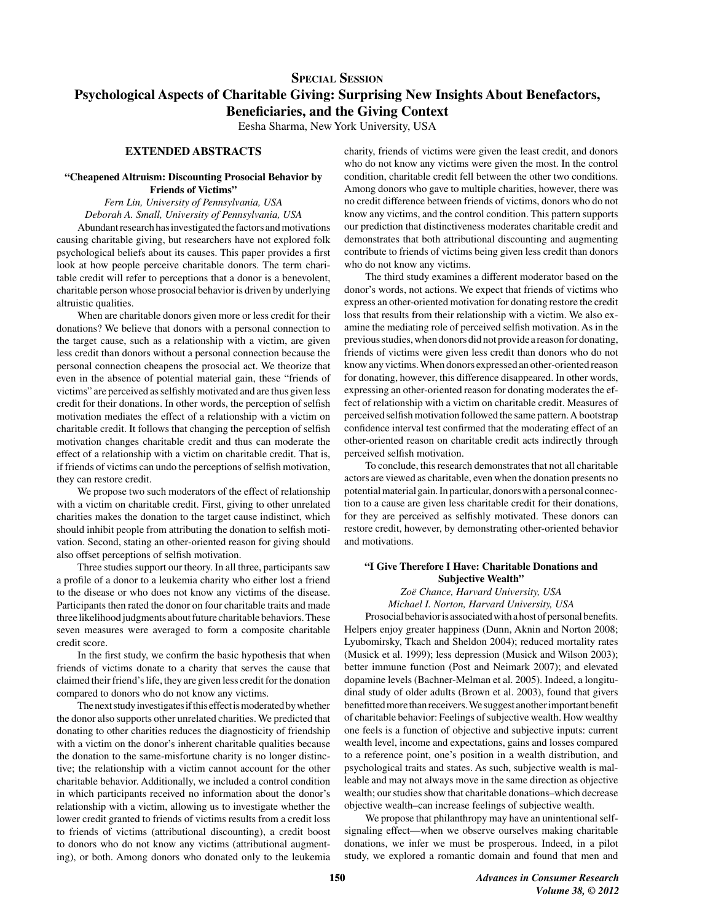# **SPECIAL SESSION** Psychological Aspects of Charitable Giving: Surprising New Insights About Benefactors, **Beneficiaries, and the Giving Context**

Eesha Sharma, New York University, USA

### **EXTENDED ABSTRACTS**

#### "Cheapened Altruism: Discounting Prosocial Behavior by **Friends of Victims"**

Fern Lin, University of Pennsylvania, USA Deborah A. Small, University of Pennsylvania, USA

Abundant research has investigated the factors and motivations causing charitable giving, but researchers have not explored folk psychological beliefs about its causes. This paper provides a first look at how people perceive charitable donors. The term charitable credit will refer to perceptions that a donor is a benevolent, charitable person whose prosocial behavior is driven by underlying altruistic qualities.

When are charitable donors given more or less credit for their donations? We believe that donors with a personal connection to the target cause, such as a relationship with a victim, are given less credit than donors without a personal connection because the personal connection cheapens the prosocial act. We theorize that even in the absence of potential material gain, these "friends of victims" are perceived as selfishly motivated and are thus given less credit for their donations. In other words, the perception of selfish motivation mediates the effect of a relationship with a victim on charitable credit. It follows that changing the perception of selfish motivation changes charitable credit and thus can moderate the effect of a relationship with a victim on charitable credit. That is, if friends of victims can undo the perceptions of selfish motivation, they can restore credit.

We propose two such moderators of the effect of relationship with a victim on charitable credit. First, giving to other unrelated charities makes the donation to the target cause indistinct, which should inhibit people from attributing the donation to selfish motivation. Second, stating an other-oriented reason for giving should also offset perceptions of selfish motivation.

Three studies support our theory. In all three, participants saw a profile of a donor to a leukemia charity who either lost a friend to the disease or who does not know any victims of the disease. Participants then rated the donor on four charitable traits and made three likelihood judgments about future charitable behaviors. These seven measures were averaged to form a composite charitable credit score.

In the first study, we confirm the basic hypothesis that when friends of victims donate to a charity that serves the cause that claimed their friend's life, they are given less credit for the donation compared to donors who do not know any victims.

The next study investigates if this effect is moderated by whether the donor also supports other unrelated charities. We predicted that donating to other charities reduces the diagnosticity of friendship with a victim on the donor's inherent charitable qualities because the donation to the same-misfortune charity is no longer distinctive; the relationship with a victim cannot account for the other charitable behavior. Additionally, we included a control condition in which participants received no information about the donor's relationship with a victim, allowing us to investigate whether the lower credit granted to friends of victims results from a credit loss to friends of victims (attributional discounting), a credit boost to donors who do not know any victims (attributional augmenting), or both. Among donors who donated only to the leukemia charity, friends of victims were given the least credit, and donors who do not know any victims were given the most. In the control condition, charitable credit fell between the other two conditions. Among donors who gave to multiple charities, however, there was no credit difference between friends of victims, donors who do not know any victims, and the control condition. This pattern supports our prediction that distinctiveness moderates charitable credit and demonstrates that both attributional discounting and augmenting contribute to friends of victims being given less credit than donors who do not know any victims.

The third study examines a different moderator based on the donor's words, not actions. We expect that friends of victims who express an other-oriented motivation for donating restore the credit loss that results from their relationship with a victim. We also examine the mediating role of perceived selfish motivation. As in the previous studies, when donors did not provide a reason for donating, friends of victims were given less credit than donors who do not know any victims. When donors expressed an other-oriented reason for donating, however, this difference disappeared. In other words, expressing an other-oriented reason for donating moderates the effect of relationship with a victim on charitable credit. Measures of perceived selfish motivation followed the same pattern. A bootstrap confidence interval test confirmed that the moderating effect of an other-oriented reason on charitable credit acts indirectly through perceived selfish motivation.

To conclude, this research demonstrates that not all charitable actors are viewed as charitable, even when the donation presents no potential material gain. In particular, donors with a personal connection to a cause are given less charitable credit for their donations, for they are perceived as selfishly motivated. These donors can restore credit, however, by demonstrating other-oriented behavior and motivations.

#### "I Give Therefore I Have: Charitable Donations and **Subjective Wealth"**

Zoë Chance, Harvard University, USA Michael I. Norton, Harvard University, USA

Prosocial behavior is associated with a host of personal benefits. Helpers enjoy greater happiness (Dunn, Aknin and Norton 2008; Lyubomirsky, Tkach and Sheldon 2004); reduced mortality rates (Musick et al. 1999); less depression (Musick and Wilson 2003); better immune function (Post and Neimark 2007); and elevated dopamine levels (Bachner-Melman et al. 2005). Indeed, a longitudinal study of older adults (Brown et al. 2003), found that givers benefitted more than receivers. We suggest another important benefit of charitable behavior: Feelings of subjective wealth. How wealthy one feels is a function of objective and subjective inputs: current wealth level, income and expectations, gains and losses compared to a reference point, one's position in a wealth distribution, and psychological traits and states. As such, subjective wealth is malleable and may not always move in the same direction as objective wealth; our studies show that charitable donations-which decrease objective wealth-can increase feelings of subjective wealth.

We propose that philanthropy may have an unintentional selfsignaling effect—when we observe ourselves making charitable donations, we infer we must be prosperous. Indeed, in a pilot study, we explored a romantic domain and found that men and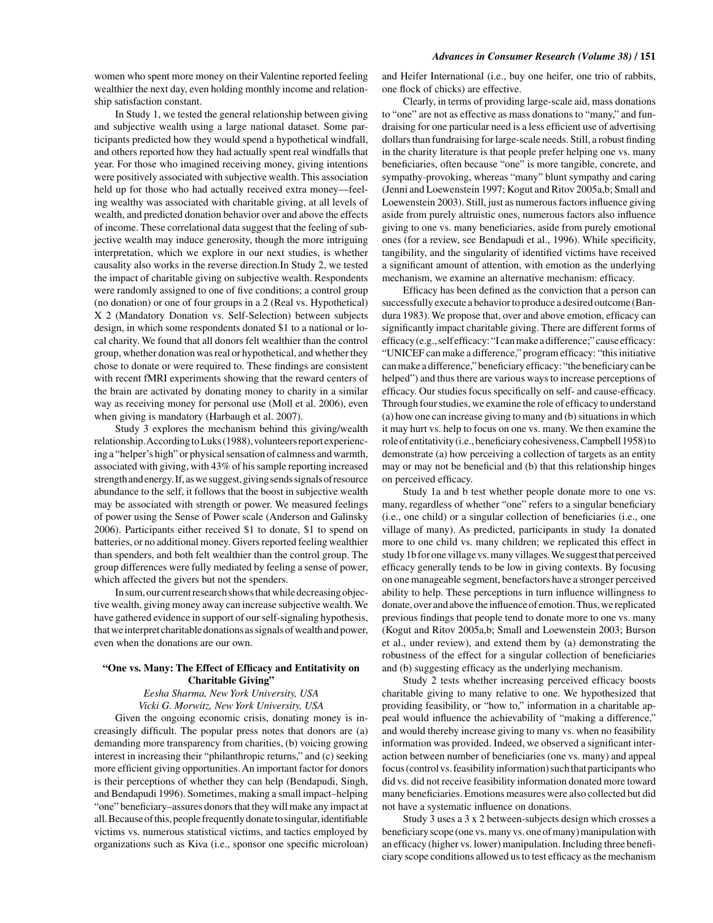women who spent more money on their Valentine reported feeling wealthier the next day, even holding monthly income and relationship satisfaction constant.

In Study 1, we tested the general relationship between giving and subjective wealth using a large national dataset. Some participants predicted how they would spend a hypothetical windfall, and others reported how they had actually spent real windfalls that year. For those who imagined receiving money, giving intentions were positively associated with subjective wealth. This association held up for those who had actually received extra money-feeling wealthy was associated with charitable giving, at all levels of wealth, and predicted donation behavior over and above the effects of income. These correlational data suggest that the feeling of subjective wealth may induce generosity, though the more intriguing interpretation, which we explore in our next studies, is whether causality also works in the reverse direction. In Study 2, we tested the impact of charitable giving on subjective wealth. Respondents were randomly assigned to one of five conditions; a control group (no donation) or one of four groups in a 2 (Real vs. Hypothetical) X 2 (Mandatory Donation vs. Self-Selection) between subjects design, in which some respondents donated \$1 to a national or local charity. We found that all donors felt wealthier than the control group, whether donation was real or hypothetical, and whether they chose to donate or were required to. These findings are consistent with recent fMRI experiments showing that the reward centers of the brain are activated by donating money to charity in a similar way as receiving money for personal use (Moll et al. 2006), even when giving is mandatory (Harbaugh et al. 2007).

Study 3 explores the mechanism behind this giving/wealth relationship. According to Luks (1988), volunteers report experiencing a "helper's high" or physical sensation of calmness and warmth, associated with giving, with 43% of his sample reporting increased strength and energy. If, as we suggest, giving sends signals of resource abundance to the self, it follows that the boost in subjective wealth may be associated with strength or power. We measured feelings of power using the Sense of Power scale (Anderson and Galinsky 2006). Participants either received \$1 to donate, \$1 to spend on batteries, or no additional money. Givers reported feeling wealthier than spenders, and both felt wealthier than the control group. The group differences were fully mediated by feeling a sense of power, which affected the givers but not the spenders.

In sum, our current research shows that while decreasing objective wealth, giving money away can increase subjective wealth. We have gathered evidence in support of our self-signaling hypothesis, that we interpret charitable donations as signals of wealth and power, even when the donations are our own.

#### "One vs. Many: The Effect of Efficacy and Entitativity on **Charitable Giving"**

Eesha Sharma, New York University, USA Vicki G. Morwitz, New York University, USA

Given the ongoing economic crisis, donating money is increasingly difficult. The popular press notes that donors are (a) demanding more transparency from charities, (b) voicing growing interest in increasing their "philanthropic returns," and (c) seeking more efficient giving opportunities. An important factor for donors is their perceptions of whether they can help (Bendapudi, Singh, and Bendapudi 1996). Sometimes, making a small impact-helping "one" beneficiary-assures donors that they will make any impact at all. Because of this, people frequently donate to singular, identifiable victims vs. numerous statistical victims, and tactics employed by organizations such as Kiva (i.e., sponsor one specific microloan) and Heifer International (i.e., buy one heifer, one trio of rabbits, one flock of chicks) are effective.

Clearly, in terms of providing large-scale aid, mass donations to "one" are not as effective as mass donations to "many," and fundraising for one particular need is a less efficient use of advertising dollars than fundraising for large-scale needs. Still, a robust finding in the charity literature is that people prefer helping one vs. many beneficiaries, often because "one" is more tangible, concrete, and sympathy-provoking, whereas "many" blunt sympathy and caring (Jenni and Loewenstein 1997; Kogut and Ritov 2005a,b; Small and Loewenstein 2003). Still, just as numerous factors influence giving aside from purely altruistic ones, numerous factors also influence giving to one vs. many beneficiaries, aside from purely emotional ones (for a review, see Bendapudi et al., 1996). While specificity, tangibility, and the singularity of identified victims have received a significant amount of attention, with emotion as the underlying mechanism, we examine an alternative mechanism: efficacy.

Efficacy has been defined as the conviction that a person can successfully execute a behavior to produce a desired outcome (Bandura 1983). We propose that, over and above emotion, efficacy can significantly impact charitable giving. There are different forms of efficacy (e.g., self efficacy: "I can make a difference;" cause efficacy: "UNICEF can make a difference," program efficacy: "this initiative can make a difference," beneficiary efficacy: "the beneficiary can be helped") and thus there are various ways to increase perceptions of efficacy. Our studies focus specifically on self- and cause-efficacy. Through four studies, we examine the role of efficacy to understand (a) how one can increase giving to many and (b) situations in which it may hurt vs. help to focus on one vs. many. We then examine the role of entitativity (i.e., beneficiary cohesiveness, Campbell 1958) to demonstrate (a) how perceiving a collection of targets as an entity may or may not be beneficial and (b) that this relationship hinges on perceived efficacy.

Study 1a and b test whether people donate more to one vs. many, regardless of whether "one" refers to a singular beneficiary (i.e., one child) or a singular collection of beneficiaries (i.e., one village of many). As predicted, participants in study 1a donated more to one child vs. many children; we replicated this effect in study 1b for one village vs. many villages. We suggest that perceived efficacy generally tends to be low in giving contexts. By focusing on one manageable segment, benefactors have a stronger perceived ability to help. These perceptions in turn influence willingness to donate, over and above the influence of emotion. Thus, we replicated previous findings that people tend to donate more to one vs. many (Kogut and Ritov 2005a,b; Small and Loewenstein 2003; Burson et al., under review), and extend them by (a) demonstrating the robustness of the effect for a singular collection of beneficiaries and (b) suggesting efficacy as the underlying mechanism.

Study 2 tests whether increasing perceived efficacy boosts charitable giving to many relative to one. We hypothesized that providing feasibility, or "how to," information in a charitable appeal would influence the achievability of "making a difference," and would thereby increase giving to many vs. when no feasibility information was provided. Indeed, we observed a significant interaction between number of beneficiaries (one vs. many) and appeal focus (control vs. feasibility information) such that participants who did vs. did not receive feasibility information donated more toward many beneficiaries. Emotions measures were also collected but did not have a systematic influence on donations.

Study 3 uses a 3 x 2 between-subjects design which crosses a beneficiary scope (one vs. many vs. one of many) manipulation with an efficacy (higher vs. lower) manipulation. Including three beneficiary scope conditions allowed us to test efficacy as the mechanism